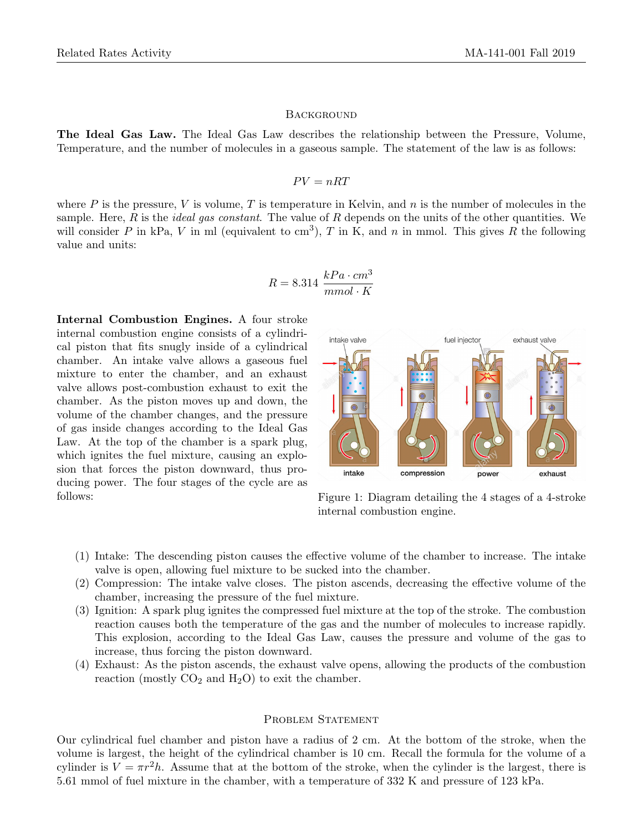## **BACKGROUND**

The Ideal Gas Law. The Ideal Gas Law describes the relationship between the Pressure, Volume, Temperature, and the number of molecules in a gaseous sample. The statement of the law is as follows:

## $PV = nRT$

where P is the pressure, V is volume, T is temperature in Kelvin, and n is the number of molecules in the sample. Here, R is the *ideal gas constant*. The value of R depends on the units of the other quantities. We will consider P in kPa, V in ml (equivalent to cm<sup>3</sup>), T in K, and n in mmol. This gives R the following value and units:

$$
R = 8.314 \frac{kPa \cdot cm^3}{mmol \cdot K}
$$

Internal Combustion Engines. A four stroke internal combustion engine consists of a cylindrical piston that fits snugly inside of a cylindrical chamber. An intake valve allows a gaseous fuel mixture to enter the chamber, and an exhaust valve allows post-combustion exhaust to exit the chamber. As the piston moves up and down, the volume of the chamber changes, and the pressure of gas inside changes according to the Ideal Gas Law. At the top of the chamber is a spark plug, which ignites the fuel mixture, causing an explosion that forces the piston downward, thus producing power. The four stages of the cycle are as follows:



Figure 1: Diagram detailing the 4 stages of a 4-stroke internal combustion engine.

- (1) Intake: The descending piston causes the effective volume of the chamber to increase. The intake valve is open, allowing fuel mixture to be sucked into the chamber.
- (2) Compression: The intake valve closes. The piston ascends, decreasing the effective volume of the chamber, increasing the pressure of the fuel mixture.
- (3) Ignition: A spark plug ignites the compressed fuel mixture at the top of the stroke. The combustion reaction causes both the temperature of the gas and the number of molecules to increase rapidly. This explosion, according to the Ideal Gas Law, causes the pressure and volume of the gas to increase, thus forcing the piston downward.
- (4) Exhaust: As the piston ascends, the exhaust valve opens, allowing the products of the combustion reaction (mostly  $CO<sub>2</sub>$  and  $H<sub>2</sub>O$ ) to exit the chamber.

## PROBLEM STATEMENT

Our cylindrical fuel chamber and piston have a radius of 2 cm. At the bottom of the stroke, when the volume is largest, the height of the cylindrical chamber is 10 cm. Recall the formula for the volume of a cylinder is  $V = \pi r^2 h$ . Assume that at the bottom of the stroke, when the cylinder is the largest, there is 5.61 mmol of fuel mixture in the chamber, with a temperature of 332 K and pressure of 123 kPa.